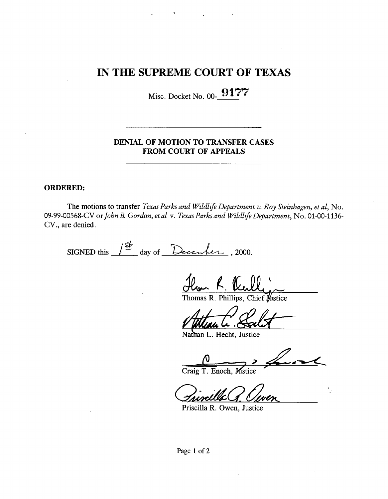## IN THE SUPREME COURT OF TEXAS

Misc. Docket No. 00-**9177** 

## DENIAL OF MOTION TO TRANSFER CASES FROM COURT OF APPEALS

## ORDERED:

The motions to transfer *Texas Parks and Wildlife Department v. Roy Steinhagen, et al,* No. 09-99-00568-CV or*John B. Gordon, et al v. Texas Parks and Wildlife Department,* No. 01-00-1136- CV., are denied.

SIGNED this  $\frac{1^{\frac{6}{5}}}{4}$  day of December, 2000.

Thomas R. Phillips, Chief Astice

Nathan L. Hecht, Justice

;p

Craig T. Enoch, Mstice

Priscilla R. Owen, Justice

Page 1 of 2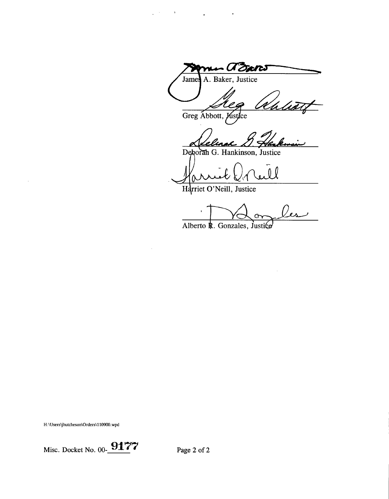- A Gars A. Baker, Justice James

j,

Greg Abbott, Mstice

 $\label{eq:2.1} \frac{1}{2} \left( \frac{1}{2} \left( \frac{1}{2} \right) \left( \frac{1}{2} \right) \right) \left( \frac{1}{2} \left( \frac{1}{2} \right) \right) \left( \frac{1}{2} \left( \frac{1}{2} \right) \right) \left( \frac{1}{2} \left( \frac{1}{2} \right) \right) \left( \frac{1}{2} \right) \left( \frac{1}{2} \right) \left( \frac{1}{2} \right) \left( \frac{1}{2} \right) \left( \frac{1}{2} \right) \left( \frac{1}{2} \right) \left( \frac{1}{2$ 

Deborah G. Hankinson, Justice

 $\theta$ 

Harriet O'Neill, Justice

 $\bar{a}$ 

Les

Alberto R. Gonzales, Justice

H:\Users\jhutcheson\Orders\110900.wpd

 $\sim$ 



Page 2 of 2